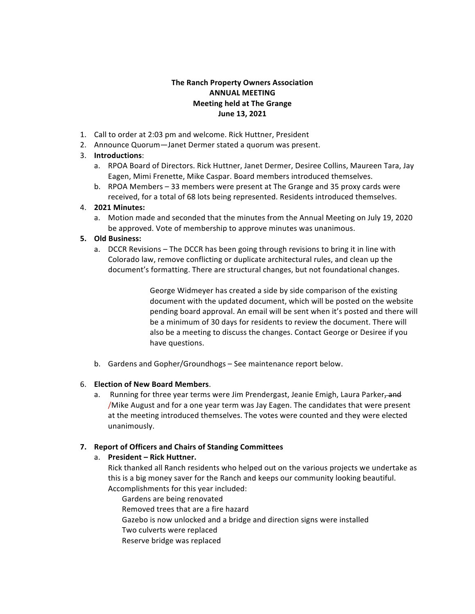# **The Ranch Property Owners Association ANNUAL MEETING Meeting held at The Grange June 13, 2021**

- 1. Call to order at 2:03 pm and welcome. Rick Huttner, President
- 2. Announce Quorum—Janet Dermer stated a quorum was present.

# 3. **Introductions**:

- a. RPOA Board of Directors. Rick Huttner, Janet Dermer, Desiree Collins, Maureen Tara, Jay Eagen, Mimi Frenette, Mike Caspar. Board members introduced themselves.
- b. RPOA Members 33 members were present at The Grange and 35 proxy cards were received, for a total of 68 lots being represented. Residents introduced themselves.

# 4. **2021 Minutes:**

a. Motion made and seconded that the minutes from the Annual Meeting on July 19, 2020 be approved. Vote of membership to approve minutes was unanimous.

# **5. Old Business:**

a. DCCR Revisions – The DCCR has been going through revisions to bring it in line with Colorado law, remove conflicting or duplicate architectural rules, and clean up the document's formatting. There are structural changes, but not foundational changes.

> George Widmeyer has created a side by side comparison of the existing document with the updated document, which will be posted on the website pending board approval. An email will be sent when it's posted and there will be a minimum of 30 days for residents to review the document. There will also be a meeting to discuss the changes. Contact George or Desiree if you have questions.

b. Gardens and Gopher/Groundhogs – See maintenance report below.

# 6. **Election of New Board Members**.

a. Running for three year terms were Jim Prendergast, Jeanie Emigh, Laura Parker, and /Mike August and for a one year term was Jay Eagen. The candidates that were present at the meeting introduced themselves. The votes were counted and they were elected unanimously.

# **7. Report of Officers and Chairs of Standing Committees**

# a. **President – Rick Huttner.**

Rick thanked all Ranch residents who helped out on the various projects we undertake as this is a big money saver for the Ranch and keeps our community looking beautiful. Accomplishments for this year included:

Gardens are being renovated

Removed trees that are a fire hazard

- Gazebo is now unlocked and a bridge and direction signs were installed
- Two culverts were replaced
- Reserve bridge was replaced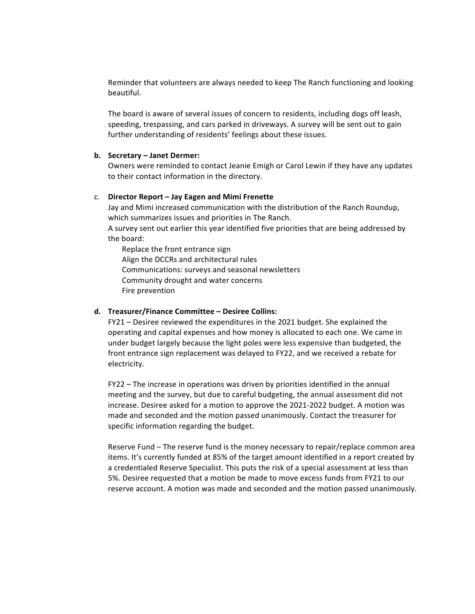Reminder that volunteers are always needed to keep The Ranch functioning and looking beautiful.

The board is aware of several issues of concern to residents, including dogs off leash, speeding, trespassing, and cars parked in driveways. A survey will be sent out to gain further understanding of residents' feelings about these issues.

#### **b. Secretary – Janet Dermer:**

Owners were reminded to contact Jeanie Emigh or Carol Lewin if they have any updates to their contact information in the directory.

### c. **Director Report – Jay Eagen and Mimi Frenette**

Jay and Mimi increased communication with the distribution of the Ranch Roundup, which summarizes issues and priorities in The Ranch.

A survey sent out earlier this year identified five priorities that are being addressed by the board:

Replace the front entrance sign Align the DCCRs and architectural rules Communications: surveys and seasonal newsletters Community drought and water concerns Fire prevention

#### **d. Treasurer/Finance Committee – Desiree Collins:**

FY21 – Desiree reviewed the expenditures in the 2021 budget. She explained the operating and capital expenses and how money is allocated to each one. We came in under budget largely because the light poles were less expensive than budgeted, the front entrance sign replacement was delayed to FY22, and we received a rebate for electricity.

 $FY22$  – The increase in operations was driven by priorities identified in the annual meeting and the survey, but due to careful budgeting, the annual assessment did not increase. Desiree asked for a motion to approve the 2021-2022 budget. A motion was made and seconded and the motion passed unanimously. Contact the treasurer for specific information regarding the budget.

Reserve Fund – The reserve fund is the money necessary to repair/replace common area items. It's currently funded at 85% of the target amount identified in a report created by a credentialed Reserve Specialist. This puts the risk of a special assessment at less than 5%. Desiree requested that a motion be made to move excess funds from FY21 to our reserve account. A motion was made and seconded and the motion passed unanimously.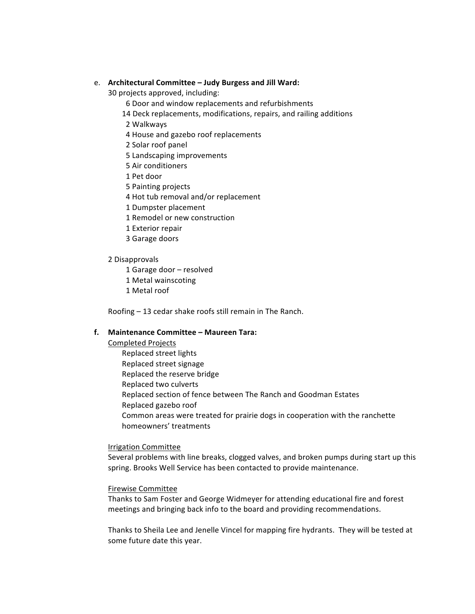#### e. **Architectural Committee – Judy Burgess and Jill Ward:**

30 projects approved, including:

- 6 Door and window replacements and refurbishments
- 14 Deck replacements, modifications, repairs, and railing additions
- 2 Walkways
- 4 House and gazebo roof replacements
- 2 Solar roof panel
- 5 Landscaping improvements
- 5 Air conditioners
- 1 Pet door
- 5 Painting projects
- 4 Hot tub removal and/or replacement
- 1 Dumpster placement
- 1 Remodel or new construction
- 1 Exterior repair
- 3 Garage doors

#### 2 Disapprovals

- 1 Garage door resolved
- 1 Metal wainscoting
- 1 Metal roof

Roofing  $-$  13 cedar shake roofs still remain in The Ranch.

## **f. Maintenance Committee – Maureen Tara:**

Completed Projects

Replaced street lights Replaced street signage Replaced the reserve bridge Replaced two culverts Replaced section of fence between The Ranch and Goodman Estates Replaced gazebo roof Common areas were treated for prairie dogs in cooperation with the ranchette homeowners' treatments

### Irrigation Committee

Several problems with line breaks, clogged valves, and broken pumps during start up this spring. Brooks Well Service has been contacted to provide maintenance.

#### Firewise Committee

Thanks to Sam Foster and George Widmeyer for attending educational fire and forest meetings and bringing back info to the board and providing recommendations.

Thanks to Sheila Lee and Jenelle Vincel for mapping fire hydrants. They will be tested at some future date this year.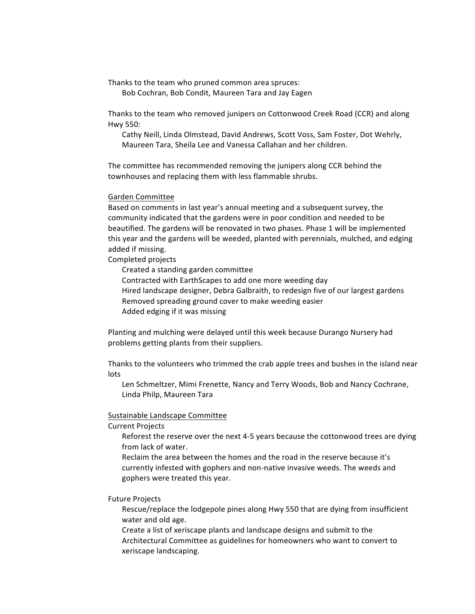Thanks to the team who pruned common area spruces: Bob Cochran, Bob Condit, Maureen Tara and Jay Eagen

Thanks to the team who removed junipers on Cottonwood Creek Road (CCR) and along Hwy 550:

Cathy Neill, Linda Olmstead, David Andrews, Scott Voss, Sam Foster, Dot Wehrly, Maureen Tara, Sheila Lee and Vanessa Callahan and her children.

The committee has recommended removing the junipers along CCR behind the townhouses and replacing them with less flammable shrubs.

Garden Committee

Based on comments in last year's annual meeting and a subsequent survey, the community indicated that the gardens were in poor condition and needed to be beautified. The gardens will be renovated in two phases. Phase 1 will be implemented this year and the gardens will be weeded, planted with perennials, mulched, and edging added if missing.

Completed projects

Created a standing garden committee

Contracted with EarthScapes to add one more weeding day

Hired landscape designer, Debra Galbraith, to redesign five of our largest gardens Removed spreading ground cover to make weeding easier

Added edging if it was missing

Planting and mulching were delayed until this week because Durango Nursery had problems getting plants from their suppliers.

Thanks to the volunteers who trimmed the crab apple trees and bushes in the island near lots

Len Schmeltzer, Mimi Frenette, Nancy and Terry Woods, Bob and Nancy Cochrane, Linda Philp, Maureen Tara

### Sustainable Landscape Committee

**Current Projects** 

Reforest the reserve over the next 4-5 years because the cottonwood trees are dying from lack of water.

Reclaim the area between the homes and the road in the reserve because it's currently infested with gophers and non-native invasive weeds. The weeds and gophers were treated this year.

**Future Projects** 

Rescue/replace the lodgepole pines along Hwy 550 that are dying from insufficient water and old age.

Create a list of xeriscape plants and landscape designs and submit to the Architectural Committee as guidelines for homeowners who want to convert to xeriscape landscaping.